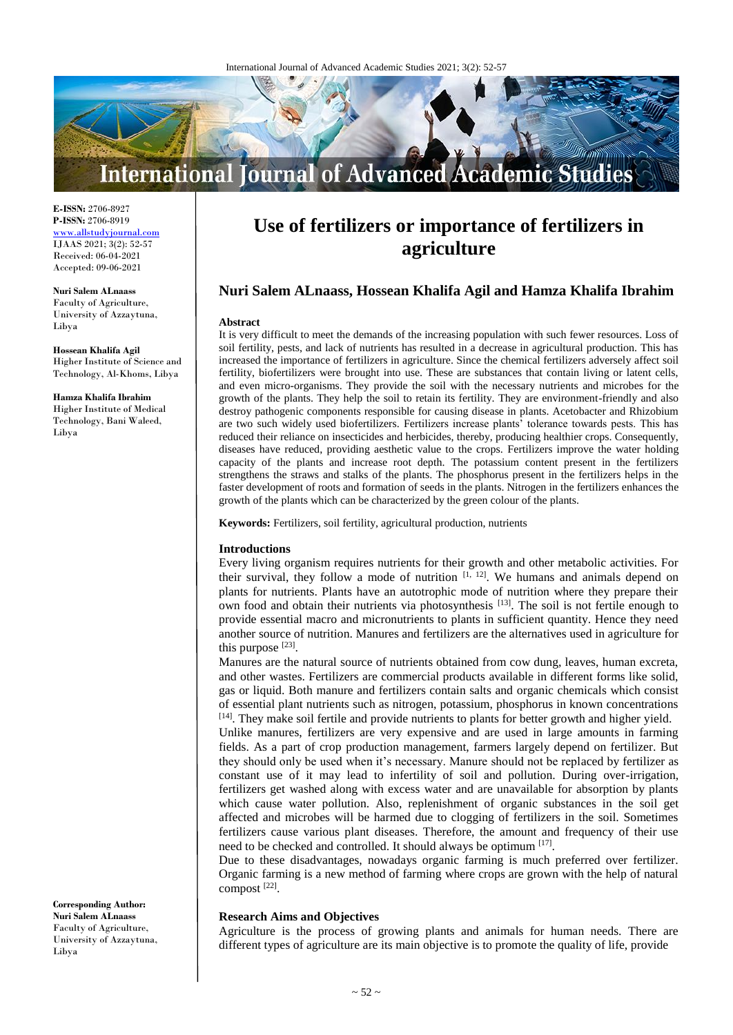

**E-ISSN:** 2706-8927 **P-ISSN:** 2706-8919 [www.allstudyjournal.com](http://www.allstudyjournal.com/) IJAAS 2021; 3(2): 52-57 Received: 06-04-2021 Accepted: 09-06-2021

**Nuri Salem ALnaass** Faculty of Agriculture, University of Azzaytuna, Libya

**Hossean Khalifa Agil** Higher Institute of Science and Technology, Al-Khoms, Libya

**Hamza Khalifa Ibrahim** Higher Institute of Medical Technology, Bani Waleed, Libya

**Corresponding Author: Nuri Salem ALnaass** Faculty of Agriculture, University of Azzaytuna, Libya

# **Use of fertilizers or importance of fertilizers in agriculture**

# **Nuri Salem ALnaass, Hossean Khalifa Agil and Hamza Khalifa Ibrahim**

#### **Abstract**

It is very difficult to meet the demands of the increasing population with such fewer resources. Loss of soil fertility, pests, and lack of nutrients has resulted in a decrease in agricultural production. This has increased the importance of fertilizers in agriculture. Since the chemical fertilizers adversely affect soil fertility, biofertilizers were brought into use. These are substances that contain living or latent cells, and even micro-organisms. They provide the soil with the necessary nutrients and microbes for the growth of the plants. They help the soil to retain its fertility. They are environment-friendly and also destroy pathogenic components responsible for causing disease in plants. Acetobacter and Rhizobium are two such widely used biofertilizers. Fertilizers increase plants' tolerance towards pests. This has reduced their reliance on insecticides and herbicides, thereby, producing healthier crops. Consequently, diseases have reduced, providing aesthetic value to the crops. Fertilizers improve the water holding capacity of the plants and increase root depth. The potassium content present in the fertilizers strengthens the straws and stalks of the plants. The phosphorus present in the fertilizers helps in the faster development of roots and formation of seeds in the plants. Nitrogen in the fertilizers enhances the growth of the plants which can be characterized by the green colour of the plants.

**Keywords:** Fertilizers, soil fertility, agricultural production, nutrients

# **Introductions**

Every living organism requires nutrients for their growth and other metabolic activities. For their survival, they follow a mode of nutrition  $[1, 12]$ . We humans and animals depend on plants for nutrients. Plants have an autotrophic mode of nutrition where they prepare their own food and obtain their nutrients via photosynthesis<sup>[13]</sup>. The soil is not fertile enough to provide essential macro and micronutrients to plants in sufficient quantity. Hence they need another source of nutrition. Manures and fertilizers are the alternatives used in agriculture for this purpose  $[23]$ .

Manures are the natural source of nutrients obtained from cow dung, leaves, human excreta, and other wastes. Fertilizers are commercial products available in different forms like solid, gas or liquid. Both manure and fertilizers contain salts and organic chemicals which consist of essential plant nutrients such as nitrogen, potassium, phosphorus in known concentrations [14]. They make soil fertile and provide nutrients to plants for better growth and higher yield.

Unlike manures, fertilizers are very expensive and are used in large amounts in farming fields. As a part of crop production management, farmers largely depend on fertilizer. But they should only be used when it's necessary. Manure should not be replaced by fertilizer as constant use of it may lead to infertility of soil and pollution. During over-irrigation, fertilizers get washed along with excess water and are unavailable for absorption by plants which cause water pollution. Also, replenishment of organic substances in the soil get affected and microbes will be harmed due to clogging of fertilizers in the soil. Sometimes fertilizers cause various plant diseases. Therefore, the amount and frequency of their use need to be checked and controlled. It should always be optimum [17].

Due to these disadvantages, nowadays organic farming is much preferred over fertilizer. Organic farming is a new method of farming where crops are grown with the help of natural compost [22] .

# **Research Aims and Objectives**

Agriculture is the process of growing plants and animals for human needs. There are different types of agriculture are its main objective is to promote the quality of life, provide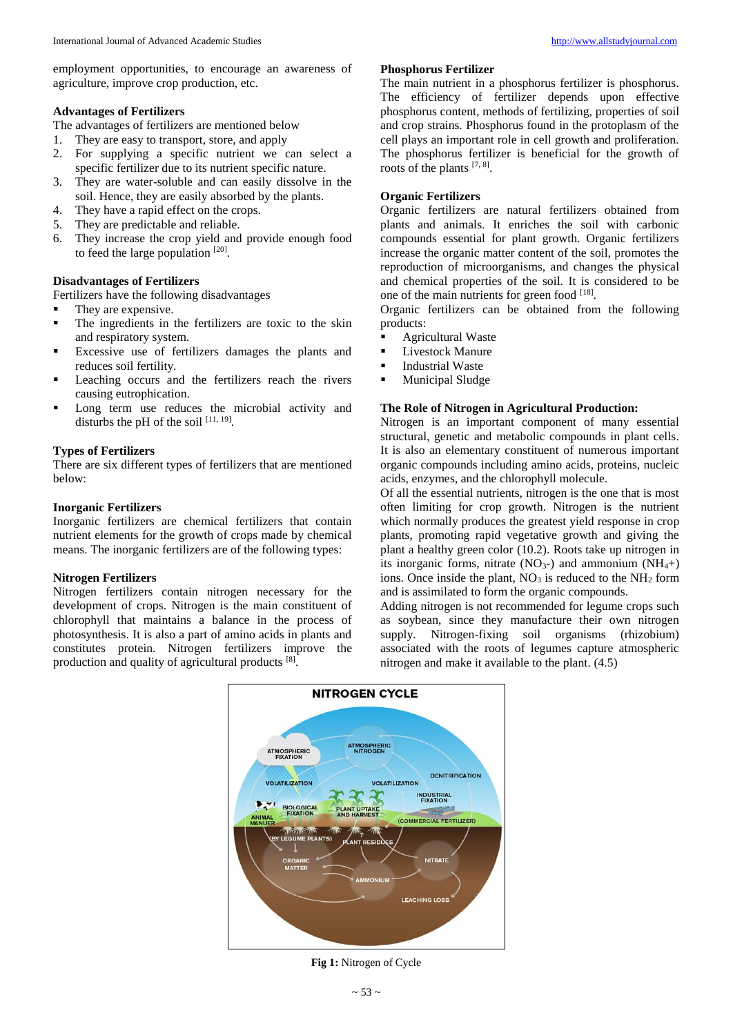employment opportunities, to encourage an awareness of agriculture, improve crop production, etc.

# **Advantages of Fertilizers**

The advantages of fertilizers are mentioned below

- 1. They are easy to transport, store, and apply
- 2. For supplying a specific nutrient we can select a specific fertilizer due to its nutrient specific nature.
- 3. They are water-soluble and can easily dissolve in the soil. Hence, they are easily absorbed by the plants.
- 4. They have a rapid effect on the crops.
- 5. They are predictable and reliable.
- 6. They increase the crop yield and provide enough food to feed the large population  $[20]$ .

# **Disadvantages of Fertilizers**

Fertilizers have the following disadvantages

- They are expensive.
- The ingredients in the fertilizers are toxic to the skin and respiratory system.
- Excessive use of fertilizers damages the plants and reduces soil fertility.
- Leaching occurs and the fertilizers reach the rivers causing eutrophication.
- Long term use reduces the microbial activity and disturbs the pH of the soil  $[11, 19]$ .

# **Types of Fertilizers**

There are six different types of fertilizers that are mentioned below:

# **Inorganic Fertilizers**

Inorganic fertilizers are chemical fertilizers that contain nutrient elements for the growth of crops made by chemical means. The inorganic fertilizers are of the following types:

# **Nitrogen Fertilizers**

Nitrogen fertilizers contain nitrogen necessary for the development of crops. Nitrogen is the main constituent of chlorophyll that maintains a balance in the process of photosynthesis. It is also a part of amino acids in plants and constitutes protein. Nitrogen fertilizers improve the production and quality of agricultural products [8].

# **Phosphorus Fertilizer**

The main nutrient in a phosphorus fertilizer is phosphorus. The efficiency of fertilizer depends upon effective phosphorus content, methods of fertilizing, properties of soil and crop strains. Phosphorus found in the protoplasm of the cell plays an important role in cell growth and proliferation. The phosphorus fertilizer is beneficial for the growth of roots of the plants [7, 8].

# **Organic Fertilizers**

Organic fertilizers are natural fertilizers obtained from plants and animals. It enriches the soil with carbonic compounds essential for plant growth. Organic fertilizers increase the organic matter content of the soil, promotes the reproduction of microorganisms, and changes the physical and chemical properties of the soil. It is considered to be one of the main nutrients for green food [18].

Organic fertilizers can be obtained from the following products:

- Agricultural Waste
- **Livestock Manure**
- **Industrial Waste**
- Municipal Sludge

# **The Role of Nitrogen in Agricultural Production:**

Nitrogen is an important component of many essential structural, genetic and metabolic compounds in plant cells. It is also an elementary constituent of numerous important organic compounds including amino acids, proteins, nucleic acids, enzymes, and the chlorophyll molecule.

Of all the essential nutrients, nitrogen is the one that is most often limiting for crop growth. Nitrogen is the nutrient which normally produces the greatest yield response in crop plants, promoting rapid vegetative growth and giving the plant a healthy green color (10.2). Roots take up nitrogen in its inorganic forms, nitrate  $(NO<sub>3</sub>-)$  and ammonium  $(NH<sub>4</sub>+)$ ions. Once inside the plant,  $NO<sub>3</sub>$  is reduced to the  $NH<sub>2</sub>$  form and is assimilated to form the organic compounds.

Adding nitrogen is not recommended for legume crops such as soybean, since they manufacture their own nitrogen supply. Nitrogen-fixing soil organisms (rhizobium) associated with the roots of legumes capture atmospheric nitrogen and make it available to the plant. (4.5)



**Fig 1:** Nitrogen of Cycle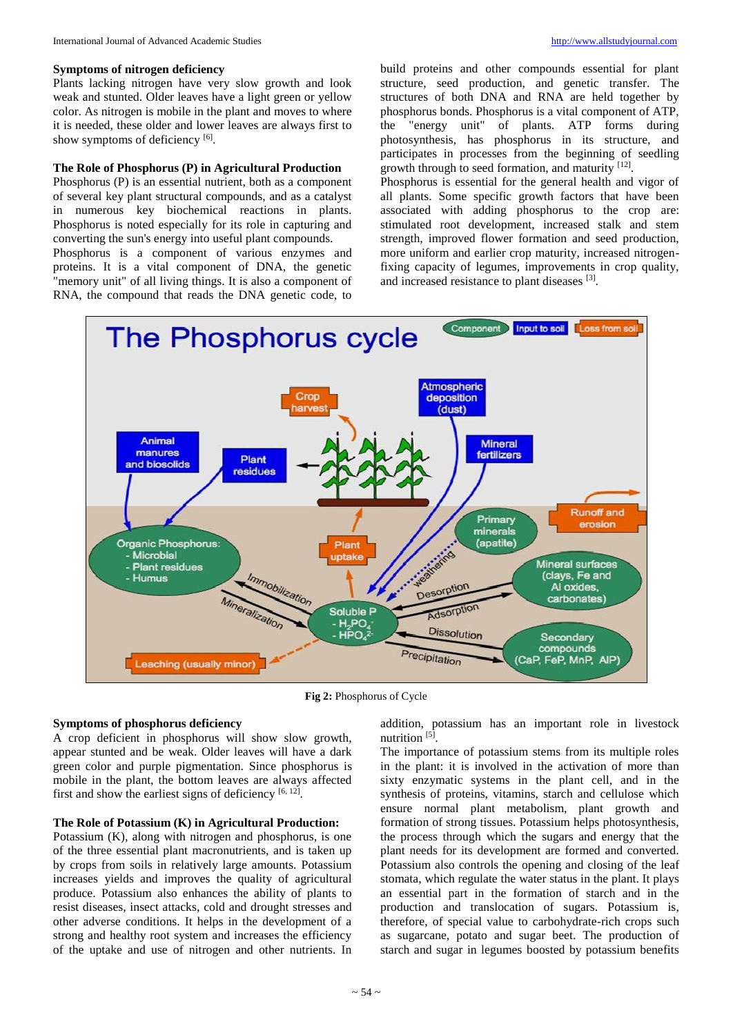Plants lacking nitrogen have very slow growth and look weak and stunted. Older leaves have a light green or yellow color. As nitrogen is mobile in the plant and moves to where it is needed, these older and lower leaves are always first to show symptoms of deficiency [6].

## **The Role of Phosphorus (P) in Agricultural Production**

Phosphorus (P) is an essential nutrient, both as a component of several key plant structural compounds, and as a catalyst in numerous key biochemical reactions in plants. Phosphorus is noted especially for its role in capturing and converting the sun's energy into useful plant compounds.

Phosphorus is a component of various enzymes and proteins. It is a vital component of DNA, the genetic "memory unit" of all living things. It is also a component of RNA, the compound that reads the DNA genetic code, to

Phosphorus is essential for the general health and vigor of all plants. Some specific growth factors that have been associated with adding phosphorus to the crop are: stimulated root development, increased stalk and stem strength, improved flower formation and seed production, more uniform and earlier crop maturity, increased nitrogenfixing capacity of legumes, improvements in crop quality, and increased resistance to plant diseases [3].



**Fig 2:** Phosphorus of Cycle

## **Symptoms of phosphorus deficiency**

A crop deficient in phosphorus will show slow growth, appear stunted and be weak. Older leaves will have a dark green color and purple pigmentation. Since phosphorus is mobile in the plant, the bottom leaves are always affected first and show the earliest signs of deficiency  $[6, 12]$ .

#### **The Role of Potassium (K) in Agricultural Production:**

Potassium (K), along with nitrogen and phosphorus, is one of the three essential plant macronutrients, and is taken up by crops from soils in relatively large amounts. Potassium increases yields and improves the quality of agricultural produce. Potassium also enhances the ability of plants to resist diseases, insect attacks, cold and drought stresses and other adverse conditions. It helps in the development of a strong and healthy root system and increases the efficiency of the uptake and use of nitrogen and other nutrients. In

addition, potassium has an important role in livestock nutrition<sup>[5]</sup>.

The importance of potassium stems from its multiple roles in the plant: it is involved in the activation of more than sixty enzymatic systems in the plant cell, and in the synthesis of proteins, vitamins, starch and cellulose which ensure normal plant metabolism, plant growth and formation of strong tissues. Potassium helps photosynthesis, the process through which the sugars and energy that the plant needs for its development are formed and converted. Potassium also controls the opening and closing of the leaf stomata, which regulate the water status in the plant. It plays an essential part in the formation of starch and in the production and translocation of sugars. Potassium is, therefore, of special value to carbohydrate-rich crops such as sugarcane, potato and sugar beet. The production of starch and sugar in legumes boosted by potassium benefits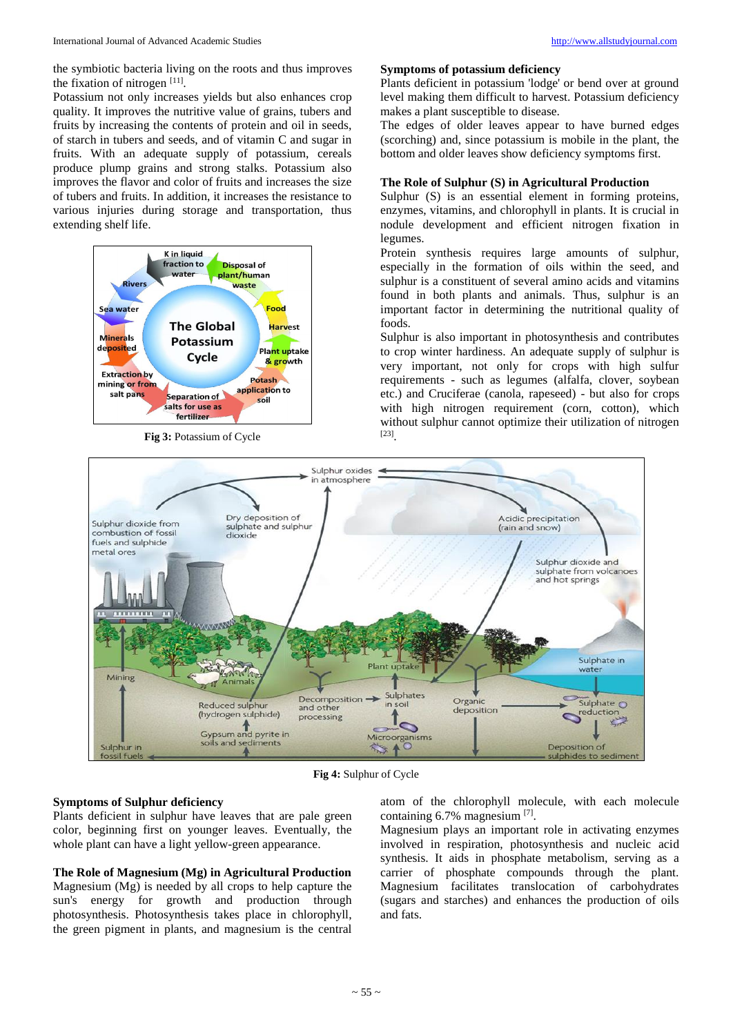the symbiotic bacteria living on the roots and thus improves the fixation of nitrogen [11].

Potassium not only increases yields but also enhances crop quality. It improves the nutritive value of grains, tubers and fruits by increasing the contents of protein and oil in seeds, of starch in tubers and seeds, and of vitamin C and sugar in fruits. With an adequate supply of potassium, cereals produce plump grains and strong stalks. Potassium also improves the flavor and color of fruits and increases the size of tubers and fruits. In addition, it increases the resistance to various injuries during storage and transportation, thus extending shelf life.



**Fig 3:** Potassium of Cycle

# **Symptoms of potassium deficiency**

Plants deficient in potassium 'lodge' or bend over at ground level making them difficult to harvest. Potassium deficiency makes a plant susceptible to disease.

The edges of older leaves appear to have burned edges (scorching) and, since potassium is mobile in the plant, the bottom and older leaves show deficiency symptoms first.

## **The Role of Sulphur (S) in Agricultural Production**

Sulphur  $(S)$  is an essential element in forming proteins, enzymes, vitamins, and chlorophyll in plants. It is crucial in nodule development and efficient nitrogen fixation in legumes.

Protein synthesis requires large amounts of sulphur, especially in the formation of oils within the seed, and sulphur is a constituent of several amino acids and vitamins found in both plants and animals. Thus, sulphur is an important factor in determining the nutritional quality of foods.

Sulphur is also important in photosynthesis and contributes to crop winter hardiness. An adequate supply of sulphur is very important, not only for crops with high sulfur requirements - such as legumes (alfalfa, clover, soybean etc.) and Cruciferae (canola, rapeseed) - but also for crops with high nitrogen requirement (corn, cotton), which without sulphur cannot optimize their utilization of nitrogen [23] .



**Fig 4:** Sulphur of Cycle

# **Symptoms of Sulphur deficiency**

Plants deficient in sulphur have leaves that are pale green color, beginning first on younger leaves. Eventually, the whole plant can have a light yellow-green appearance.

# **The Role of Magnesium (Mg) in Agricultural Production**

Magnesium (Mg) is needed by all crops to help capture the sun's energy for growth and production through photosynthesis. Photosynthesis takes place in chlorophyll, the green pigment in plants, and magnesium is the central

atom of the chlorophyll molecule, with each molecule containing 6.7% magnesium [7].

Magnesium plays an important role in activating enzymes involved in respiration, photosynthesis and nucleic acid synthesis. It aids in phosphate metabolism, serving as a carrier of phosphate compounds through the plant. Magnesium facilitates translocation of carbohydrates (sugars and starches) and enhances the production of oils and fats.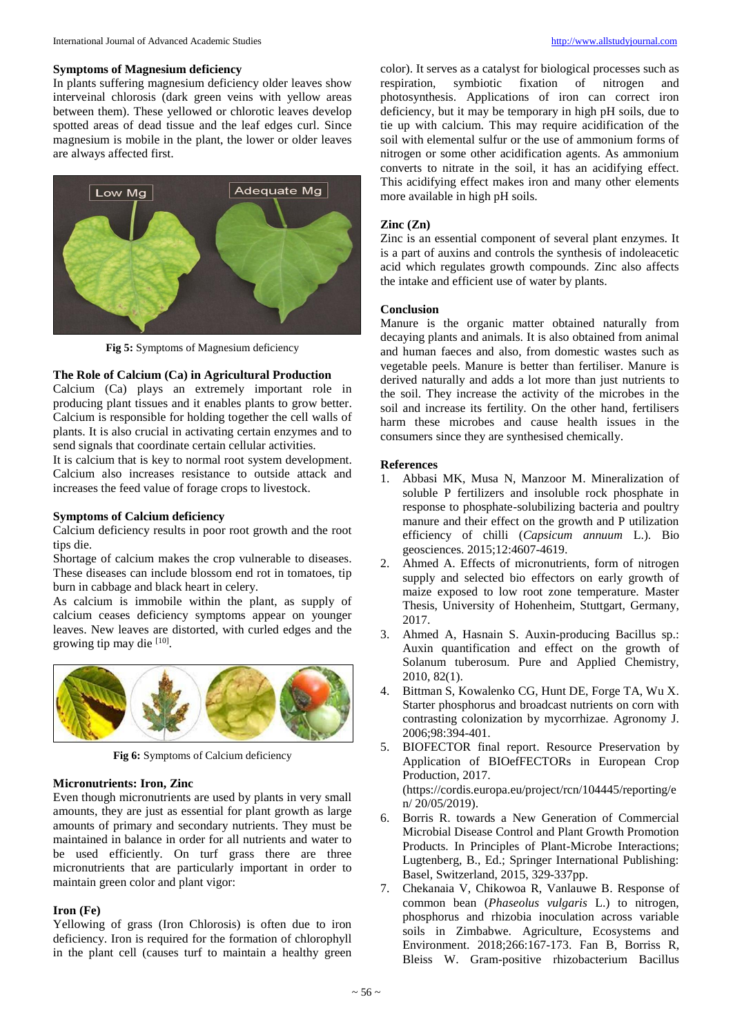## **Symptoms of Magnesium deficiency**

In plants suffering magnesium deficiency older leaves show interveinal chlorosis (dark green veins with yellow areas between them). These yellowed or chlorotic leaves develop spotted areas of dead tissue and the leaf edges curl. Since magnesium is mobile in the plant, the lower or older leaves are always affected first.



**Fig 5:** Symptoms of Magnesium deficiency

# **The Role of Calcium (Ca) in Agricultural Production**

Calcium (Ca) plays an extremely important role in producing plant tissues and it enables plants to grow better. Calcium is responsible for holding together the cell walls of plants. It is also crucial in activating certain enzymes and to send signals that coordinate certain cellular activities.

It is calcium that is key to normal root system development. Calcium also increases resistance to outside attack and increases the feed value of forage crops to livestock.

# **Symptoms of Calcium deficiency**

Calcium deficiency results in poor root growth and the root tips die.

Shortage of calcium makes the crop vulnerable to diseases. These diseases can include blossom end rot in tomatoes, tip burn in cabbage and black heart in celery.

As calcium is immobile within the plant, as supply of calcium ceases deficiency symptoms appear on younger leaves. New leaves are distorted, with curled edges and the growing tip may die [10].



**Fig 6:** Symptoms of Calcium deficiency

## **Micronutrients: Iron, Zinc**

Even though micronutrients are used by plants in very small amounts, they are just as essential for plant growth as large amounts of primary and secondary nutrients. They must be maintained in balance in order for all nutrients and water to be used efficiently. On turf grass there are three micronutrients that are particularly important in order to maintain green color and plant vigor:

## **Iron (Fe)**

Yellowing of grass (Iron Chlorosis) is often due to iron deficiency. Iron is required for the formation of chlorophyll in the plant cell (causes turf to maintain a healthy green color). It serves as a catalyst for biological processes such as respiration, symbiotic fixation of nitrogen and photosynthesis. Applications of iron can correct iron deficiency, but it may be temporary in high pH soils, due to tie up with calcium. This may require acidification of the soil with elemental sulfur or the use of ammonium forms of nitrogen or some other acidification agents. As ammonium converts to nitrate in the soil, it has an acidifying effect. This acidifying effect makes iron and many other elements more available in high pH soils.

# **Zinc (Zn)**

Zinc is an essential component of several plant enzymes. It is a part of auxins and controls the synthesis of indoleacetic acid which regulates growth compounds. Zinc also affects the intake and efficient use of water by plants.

## **Conclusion**

Manure is the organic matter obtained naturally from decaying plants and animals. It is also obtained from animal and human faeces and also, from domestic wastes such as vegetable peels. Manure is better than fertiliser. Manure is derived naturally and adds a lot more than just nutrients to the soil. They increase the activity of the microbes in the soil and increase its fertility. On the other hand, fertilisers harm these microbes and cause health issues in the consumers since they are synthesised chemically.

#### **References**

- 1. Abbasi MK, Musa N, Manzoor M. Mineralization of soluble P fertilizers and insoluble rock phosphate in response to phosphate-solubilizing bacteria and poultry manure and their effect on the growth and P utilization efficiency of chilli (*Capsicum annuum* L.). Bio geosciences. 2015;12:4607-4619.
- 2. Ahmed A. Effects of micronutrients, form of nitrogen supply and selected bio effectors on early growth of maize exposed to low root zone temperature. Master Thesis, University of Hohenheim, Stuttgart, Germany, 2017.
- 3. Ahmed A, Hasnain S. Auxin-producing Bacillus sp.: Auxin quantification and effect on the growth of Solanum tuberosum. Pure and Applied Chemistry, 2010, 82(1).
- 4. Bittman S, Kowalenko CG, Hunt DE, Forge TA, Wu X. Starter phosphorus and broadcast nutrients on corn with contrasting colonization by mycorrhizae. Agronomy J. 2006;98:394-401.
- 5. BIOFECTOR final report. Resource Preservation by Application of BIOefFECTORs in European Crop Production, 2017. (https://cordis.europa.eu/project/rcn/104445/reporting/e n/ 20/05/2019). 6. Borris R. towards a New Generation of Commercial
- Microbial Disease Control and Plant Growth Promotion Products. In Principles of Plant-Microbe Interactions; Lugtenberg, B., Ed.; Springer International Publishing: Basel, Switzerland, 2015, 329-337pp.
- 7. Chekanaia V, Chikowoa R, Vanlauwe B. Response of common bean (*Phaseolus vulgaris* L.) to nitrogen, phosphorus and rhizobia inoculation across variable soils in Zimbabwe. Agriculture, Ecosystems and Environment. 2018;266:167-173. Fan B, Borriss R, Bleiss W. Gram-positive rhizobacterium Bacillus